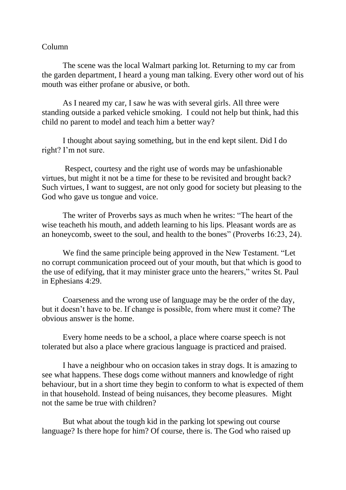## Column

The scene was the local Walmart parking lot. Returning to my car from the garden department, I heard a young man talking. Every other word out of his mouth was either profane or abusive, or both.

As I neared my car, I saw he was with several girls. All three were standing outside a parked vehicle smoking. I could not help but think, had this child no parent to model and teach him a better way?

I thought about saying something, but in the end kept silent. Did I do right? I'm not sure.

Respect, courtesy and the right use of words may be unfashionable virtues, but might it not be a time for these to be revisited and brought back? Such virtues, I want to suggest, are not only good for society but pleasing to the God who gave us tongue and voice.

The writer of Proverbs says as much when he writes: "The heart of the wise teacheth his mouth, and addeth learning to his lips. Pleasant words are as an honeycomb, sweet to the soul, and health to the bones" (Proverbs 16:23, 24).

We find the same principle being approved in the New Testament. "Let no corrupt communication proceed out of your mouth, but that which is good to the use of edifying, that it may minister grace unto the hearers," writes St. Paul in Ephesians 4:29.

Coarseness and the wrong use of language may be the order of the day, but it doesn't have to be. If change is possible, from where must it come? The obvious answer is the home.

Every home needs to be a school, a place where coarse speech is not tolerated but also a place where gracious language is practiced and praised.

I have a neighbour who on occasion takes in stray dogs. It is amazing to see what happens. These dogs come without manners and knowledge of right behaviour, but in a short time they begin to conform to what is expected of them in that household. Instead of being nuisances, they become pleasures. Might not the same be true with children?

But what about the tough kid in the parking lot spewing out course language? Is there hope for him? Of course, there is. The God who raised up